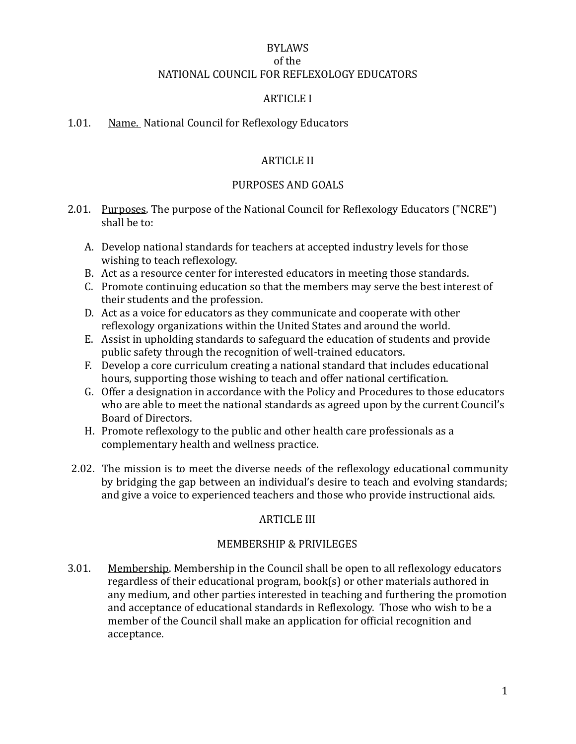## BYLAWS of the NATIONAL COUNCIL FOR REFLEXOLOGY EDUCATORS

### **ARTICLE I**

#### 1.01. Name. National Council for Reflexology Educators

## **ARTICLE II**

### PURPOSES AND GOALS

- 2.01. Purposes. The purpose of the National Council for Reflexology Educators ("NCRE") shall be to:
	- A. Develop national standards for teachers at accepted industry levels for those wishing to teach reflexology.
	- B. Act as a resource center for interested educators in meeting those standards.
	- C. Promote continuing education so that the members may serve the best interest of their students and the profession.
	- D. Act as a voice for educators as they communicate and cooperate with other reflexology organizations within the United States and around the world.
	- E. Assist in upholding standards to safeguard the education of students and provide public safety through the recognition of well-trained educators.
	- F. Develop a core curriculum creating a national standard that includes educational hours, supporting those wishing to teach and offer national certification.
	- G. Offer a designation in accordance with the Policy and Procedures to those educators who are able to meet the national standards as agreed upon by the current Council's Board of Directors.
	- H. Promote reflexology to the public and other health care professionals as a complementary health and wellness practice.
- 2.02. The mission is to meet the diverse needs of the reflexology educational community by bridging the gap between an individual's desire to teach and evolving standards; and give a voice to experienced teachers and those who provide instructional aids.

# **ARTICLE III**

### MEMBERSHIP & PRIVILEGES

3.01. Membership. Membership in the Council shall be open to all reflexology educators regardless of their educational program,  $book(s)$  or other materials authored in any medium, and other parties interested in teaching and furthering the promotion and acceptance of educational standards in Reflexology. Those who wish to be a member of the Council shall make an application for official recognition and acceptance.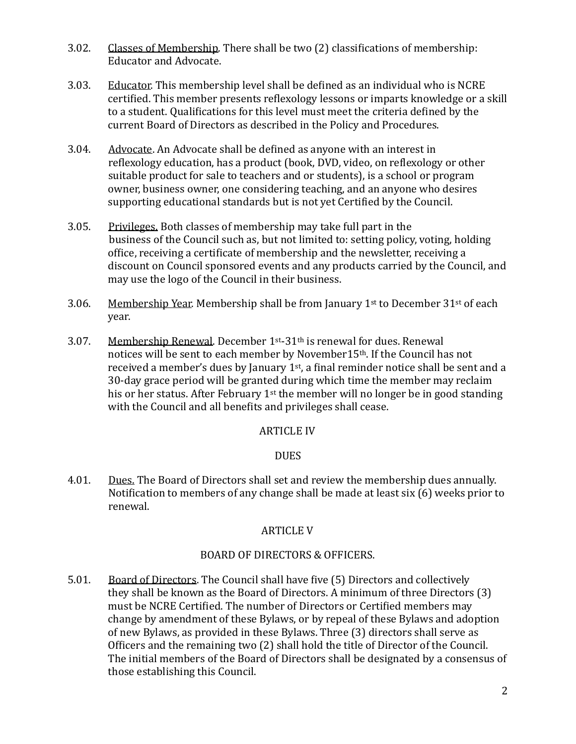- 3.02. Classes of Membership. There shall be two (2) classifications of membership: Educator and Advocate.
- 3.03. Educator. This membership level shall be defined as an individual who is NCRE certified. This member presents reflexology lessons or imparts knowledge or a skill to a student. Qualifications for this level must meet the criteria defined by the current Board of Directors as described in the Policy and Procedures.
- 3.04. Advocate. An Advocate shall be defined as anyone with an interest in reflexology education, has a product (book, DVD, video, on reflexology or other suitable product for sale to teachers and or students), is a school or program owner, business owner, one considering teaching, and an anyone who desires supporting educational standards but is not yet Certified by the Council.
- 3.05. Privileges. Both classes of membership may take full part in the business of the Council such as, but not limited to: setting policy, voting, holding office, receiving a certificate of membership and the newsletter, receiving a discount on Council sponsored events and any products carried by the Council, and may use the logo of the Council in their business.
- 3.06. Membership Year. Membership shall be from January 1<sup>st</sup> to December  $31<sup>st</sup>$  of each year.
- 3.07. Membership Renewal. December  $1^{st}$ -31<sup>th</sup> is renewal for dues. Renewal notices will be sent to each member by November15<sup>th</sup>. If the Council has not received a member's dues by January  $1<sup>st</sup>$ , a final reminder notice shall be sent and a 30-day grace period will be granted during which time the member may reclaim his or her status. After February  $1<sup>st</sup>$  the member will no longer be in good standing with the Council and all benefits and privileges shall cease.

### **ARTICLE IV**

### **DUES**

4.01. Dues. The Board of Directors shall set and review the membership dues annually. Notification to members of any change shall be made at least six  $(6)$  weeks prior to renewal. 

### **ARTICLE V**

### BOARD OF DIRECTORS & OFFICERS.

5.01. Board of Directors. The Council shall have five (5) Directors and collectively they shall be known as the Board of Directors. A minimum of three Directors (3) must be NCRE Certified. The number of Directors or Certified members may change by amendment of these Bylaws, or by repeal of these Bylaws and adoption of new Bylaws, as provided in these Bylaws. Three (3) directors shall serve as Officers and the remaining two  $(2)$  shall hold the title of Director of the Council. The initial members of the Board of Directors shall be designated by a consensus of those establishing this Council.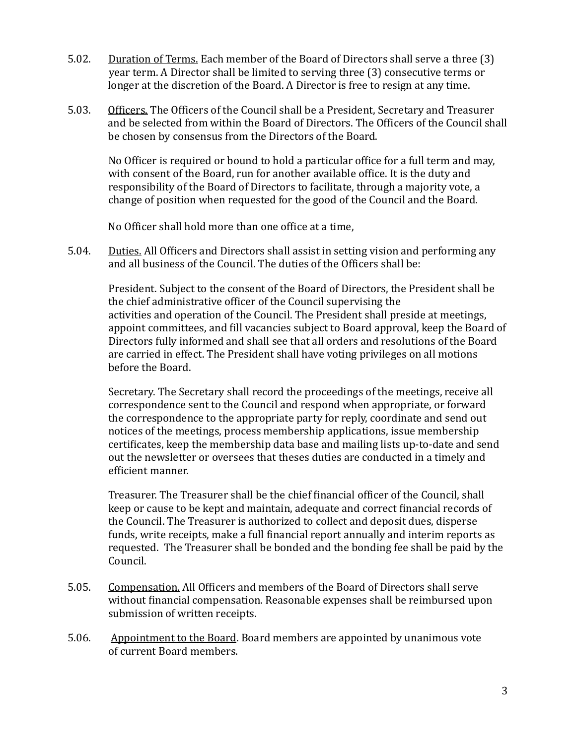- 5.02. Duration of Terms. Each member of the Board of Directors shall serve a three (3) year term. A Director shall be limited to serving three (3) consecutive terms or longer at the discretion of the Board. A Director is free to resign at any time.
- 5.03. Officers. The Officers of the Council shall be a President, Secretary and Treasurer and be selected from within the Board of Directors. The Officers of the Council shall be chosen by consensus from the Directors of the Board.

No Officer is required or bound to hold a particular office for a full term and may, with consent of the Board, run for another available office. It is the duty and responsibility of the Board of Directors to facilitate, through a majority vote, a change of position when requested for the good of the Council and the Board.

No Officer shall hold more than one office at a time,

5.04. Duties. All Officers and Directors shall assist in setting vision and performing any and all business of the Council. The duties of the Officers shall be:

President. Subject to the consent of the Board of Directors, the President shall be the chief administrative officer of the Council supervising the activities and operation of the Council. The President shall preside at meetings, appoint committees, and fill vacancies subject to Board approval, keep the Board of Directors fully informed and shall see that all orders and resolutions of the Board are carried in effect. The President shall have voting privileges on all motions before the Board.

Secretary. The Secretary shall record the proceedings of the meetings, receive all correspondence sent to the Council and respond when appropriate, or forward the correspondence to the appropriate party for reply, coordinate and send out notices of the meetings, process membership applications, issue membership certificates, keep the membership data base and mailing lists up-to-date and send out the newsletter or oversees that theses duties are conducted in a timely and efficient manner.

Treasurer. The Treasurer shall be the chief financial officer of the Council, shall keep or cause to be kept and maintain, adequate and correct financial records of the Council. The Treasurer is authorized to collect and deposit dues, disperse funds, write receipts, make a full financial report annually and interim reports as requested. The Treasurer shall be bonded and the bonding fee shall be paid by the Council. 

- 5.05. Compensation. All Officers and members of the Board of Directors shall serve without financial compensation. Reasonable expenses shall be reimbursed upon submission of written receipts.
- 5.06. Appointment to the Board. Board members are appointed by unanimous vote of current Board members.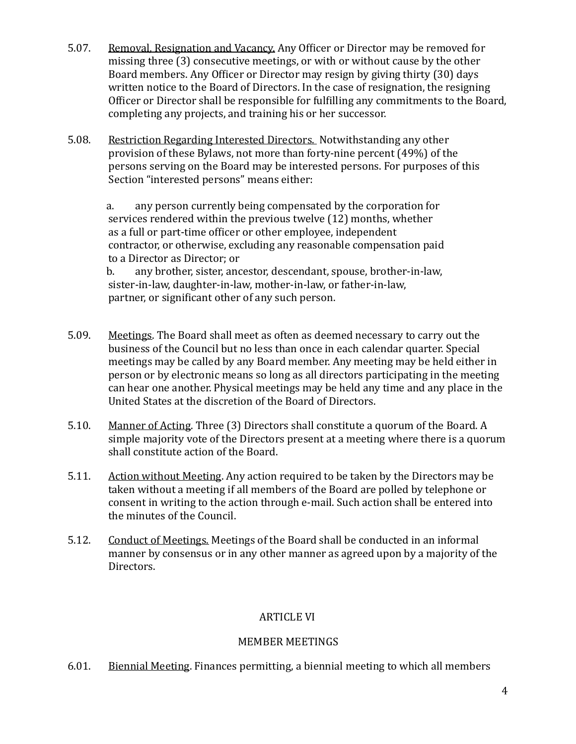- 5.07. Removal, Resignation and Vacancy. Any Officer or Director may be removed for missing three  $(3)$  consecutive meetings, or with or without cause by the other Board members. Any Officer or Director may resign by giving thirty (30) days written notice to the Board of Directors. In the case of resignation, the resigning Officer or Director shall be responsible for fulfilling any commitments to the Board, completing any projects, and training his or her successor.
- 5.08. Restriction Regarding Interested Directors. Notwithstanding any other provision of these Bylaws, not more than forty-nine percent  $(49%)$  of the persons serving on the Board may be interested persons. For purposes of this Section "interested persons" means either:

a. any person currently being compensated by the corporation for services rendered within the previous twelve (12) months, whether as a full or part-time officer or other employee, independent contractor, or otherwise, excluding any reasonable compensation paid to a Director as Director; or

b. any brother, sister, ancestor, descendant, spouse, brother-in-law, sister-in-law, daughter-in-law, mother-in-law, or father-in-law, partner, or significant other of any such person.

- 5.09. Meetings. The Board shall meet as often as deemed necessary to carry out the business of the Council but no less than once in each calendar quarter. Special meetings may be called by any Board member. Any meeting may be held either in person or by electronic means so long as all directors participating in the meeting can hear one another. Physical meetings may be held any time and any place in the United States at the discretion of the Board of Directors.
- 5.10. Manner of Acting. Three (3) Directors shall constitute a quorum of the Board. A simple majority vote of the Directors present at a meeting where there is a quorum shall constitute action of the Board.
- 5.11. Action without Meeting. Any action required to be taken by the Directors may be taken without a meeting if all members of the Board are polled by telephone or consent in writing to the action through e-mail. Such action shall be entered into the minutes of the Council.
- 5.12. Conduct of Meetings. Meetings of the Board shall be conducted in an informal manner by consensus or in any other manner as agreed upon by a majority of the Directors.

# **ARTICLE VI**

# MEMBER MEETINGS

6.01. Biennial Meeting. Finances permitting, a biennial meeting to which all members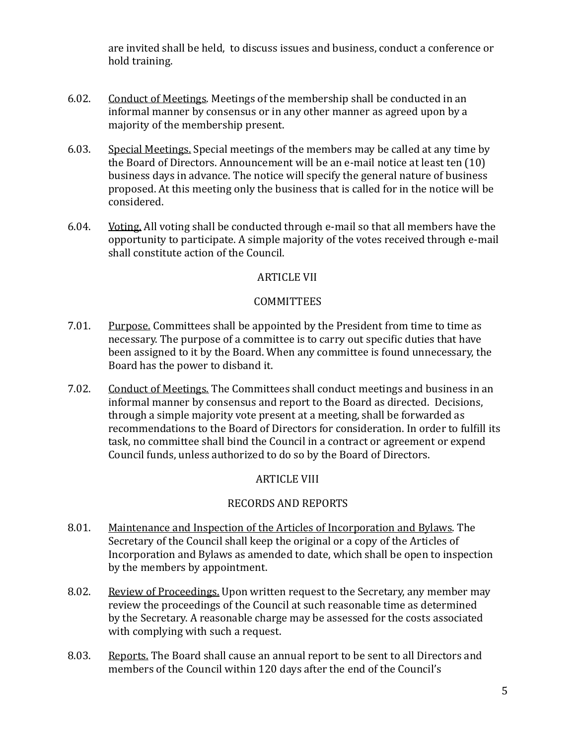are invited shall be held, to discuss issues and business, conduct a conference or hold training.

- 6.02. Conduct of Meetings. Meetings of the membership shall be conducted in an informal manner by consensus or in any other manner as agreed upon by a majority of the membership present.
- 6.03. Special Meetings. Special meetings of the members may be called at any time by the Board of Directors. Announcement will be an e-mail notice at least ten  $(10)$ business days in advance. The notice will specify the general nature of business proposed. At this meeting only the business that is called for in the notice will be considered.
- 6.04. Voting. All voting shall be conducted through e-mail so that all members have the opportunity to participate. A simple majority of the votes received through e-mail shall constitute action of the Council.

## **ARTICLE VII**

## **COMMITTEES**

- 7.01. Purpose, Committees shall be appointed by the President from time to time as necessary. The purpose of a committee is to carry out specific duties that have been assigned to it by the Board. When any committee is found unnecessary, the Board has the power to disband it.
- 7.02. Conduct of Meetings. The Committees shall conduct meetings and business in an informal manner by consensus and report to the Board as directed. Decisions, through a simple majority vote present at a meeting, shall be forwarded as recommendations to the Board of Directors for consideration. In order to fulfill its task, no committee shall bind the Council in a contract or agreement or expend Council funds, unless authorized to do so by the Board of Directors.

# **ARTICLE VIII**

# RECORDS AND REPORTS

- 8.01. Maintenance and Inspection of the Articles of Incorporation and Bylaws. The Secretary of the Council shall keep the original or a copy of the Articles of Incorporation and Bylaws as amended to date, which shall be open to inspection by the members by appointment.
- 8.02. Review of Proceedings. Upon written request to the Secretary, any member may review the proceedings of the Council at such reasonable time as determined by the Secretary. A reasonable charge may be assessed for the costs associated with complying with such a request.
- 8.03. Reports. The Board shall cause an annual report to be sent to all Directors and members of the Council within 120 days after the end of the Council's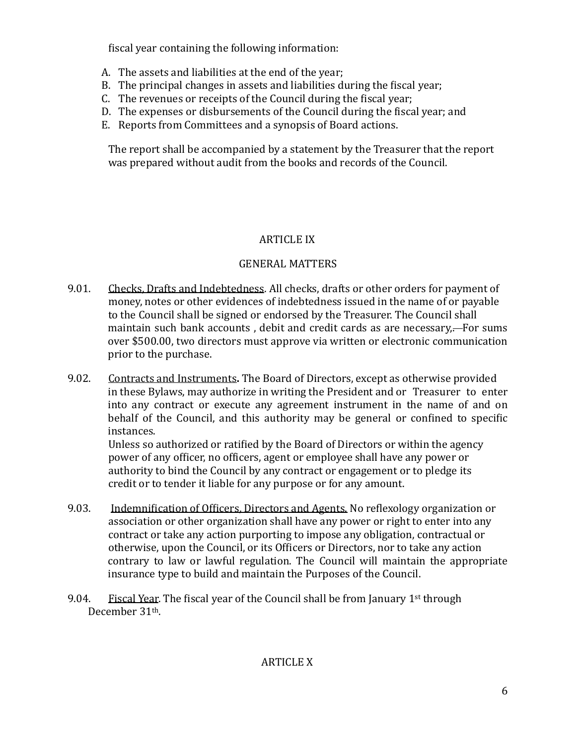fiscal year containing the following information:

- A. The assets and liabilities at the end of the year;
- B. The principal changes in assets and liabilities during the fiscal year;
- C. The revenues or receipts of the Council during the fiscal year;
- D. The expenses or disbursements of the Council during the fiscal year; and
- E. Reports from Committees and a synopsis of Board actions.

The report shall be accompanied by a statement by the Treasurer that the report was prepared without audit from the books and records of the Council.

## **ARTICLE IX**

## GENERAL MATTERS

- 9.01. Checks, Drafts and Indebtedness. All checks, drafts or other orders for payment of money, notes or other evidences of indebtedness issued in the name of or payable to the Council shall be signed or endorsed by the Treasurer. The Council shall maintain such bank accounts, debit and credit cards as are necessary,—For sums over \$500.00, two directors must approve via written or electronic communication prior to the purchase.
- 9.02. Contracts and Instruments. The Board of Directors, except as otherwise provided in these Bylaws, may authorize in writing the President and or Treasurer to enter into any contract or execute any agreement instrument in the name of and on behalf of the Council, and this authority may be general or confined to specific instances.

Unless so authorized or ratified by the Board of Directors or within the agency power of any officer, no officers, agent or employee shall have any power or authority to bind the Council by any contract or engagement or to pledge its credit or to tender it liable for any purpose or for any amount.

- 9.03. Indemnification of Officers, Directors and Agents. No reflexology organization or association or other organization shall have any power or right to enter into any contract or take any action purporting to impose any obligation, contractual or otherwise, upon the Council, or its Officers or Directors, nor to take any action contrary to law or lawful regulation. The Council will maintain the appropriate insurance type to build and maintain the Purposes of the Council.
- 9.04. Fiscal Year. The fiscal year of the Council shall be from January  $1<sup>st</sup>$  through December 31th